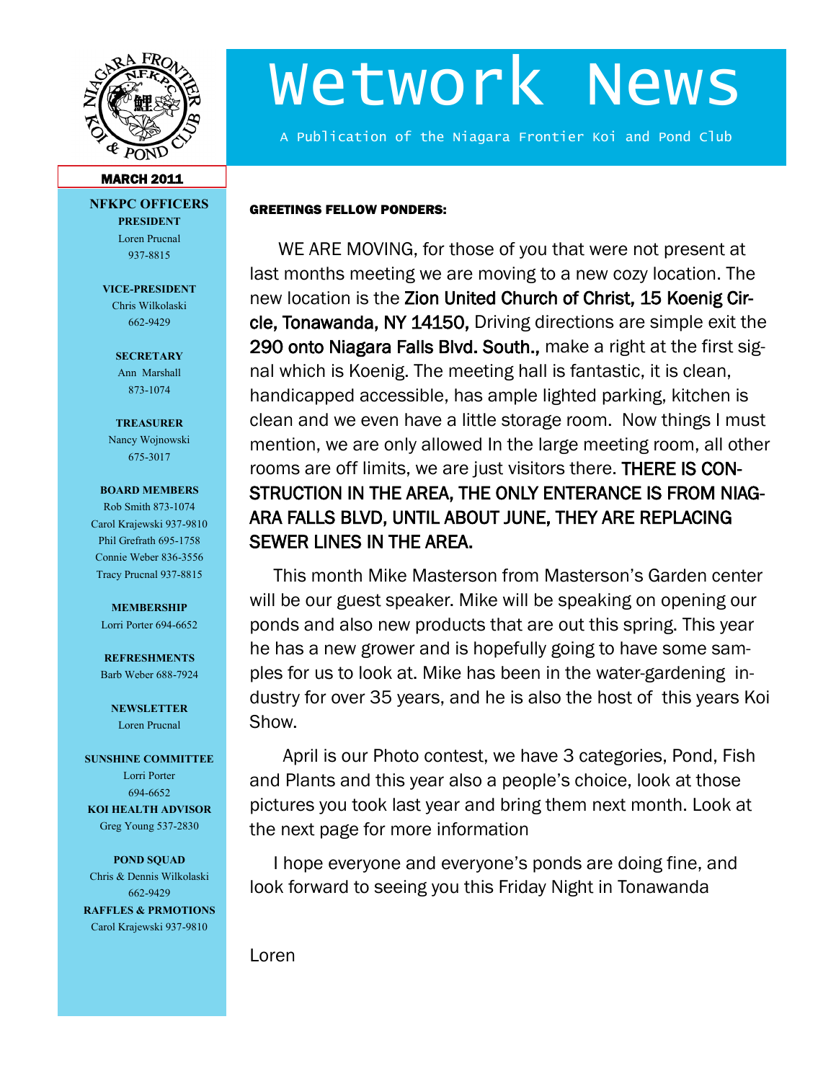

# Wetwork News

A Publication of the Niagara Frontier Koi and Pond Club

#### **MARCH 2011**

**NFKPC OFFICERS PRESIDENT** Loren Prucnal

937-8815

**VICE-PRESIDENT** Chris Wilkolaski 662-9429

> **SECRETARY** Ann Marshall 873-1074

#### **TREASURER**

Nancy Wojnowski 675-3017

#### **BOARD MEMBERS**

Rob Smith 873-1074 Carol Krajewski 937-9810 Phil Grefrath 695-1758 Connie Weber 836-3556 Tracy Prucnal 937-8815

#### **MEMBERSHIP**

Lorri Porter 694-6652

**REFRESHMENTS** Barb Weber 688-7924

**NEWSLETTER** Loren Prucnal

#### **SUNSHINE COMMITTEE**

Lorri Porter 694-6652 **KOI HEALTH ADVISOR** Greg Young 537-2830

**POND SQUAD** Chris & Dennis Wilkolaski 662-9429 **RAFFLES & PRMOTIONS**

Carol Krajewski 937-9810

GREETINGS FELLOW PONDERS:

 WE ARE MOVING, for those of you that were not present at last months meeting we are moving to a new cozy location. The new location is the Zion United Church of Christ, 15 Koenig Circle, Tonawanda, NY 14150, Driving directions are simple exit the 290 onto Niagara Falls Blvd. South., make a right at the first signal which is Koenig. The meeting hall is fantastic, it is clean, handicapped accessible, has ample lighted parking, kitchen is clean and we even have a little storage room. Now things I must mention, we are only allowed In the large meeting room, all other rooms are off limits, we are just visitors there. THERE IS CON-STRUCTION IN THE AREA, THE ONLY ENTERANCE IS FROM NIAG-ARA FALLS BLVD, UNTIL ABOUT JUNE, THEY ARE REPLACING SEWER LINES IN THE AREA.

 This month Mike Masterson from Masterson's Garden center will be our guest speaker. Mike will be speaking on opening our ponds and also new products that are out this spring. This year he has a new grower and is hopefully going to have some samples for us to look at. Mike has been in the water-gardening industry for over 35 years, and he is also the host of this years Koi Show.

 April is our Photo contest, we have 3 categories, Pond, Fish and Plants and this year also a people's choice, look at those pictures you took last year and bring them next month. Look at the next page for more information

 I hope everyone and everyone's ponds are doing fine, and look forward to seeing you this Friday Night in Tonawanda

Loren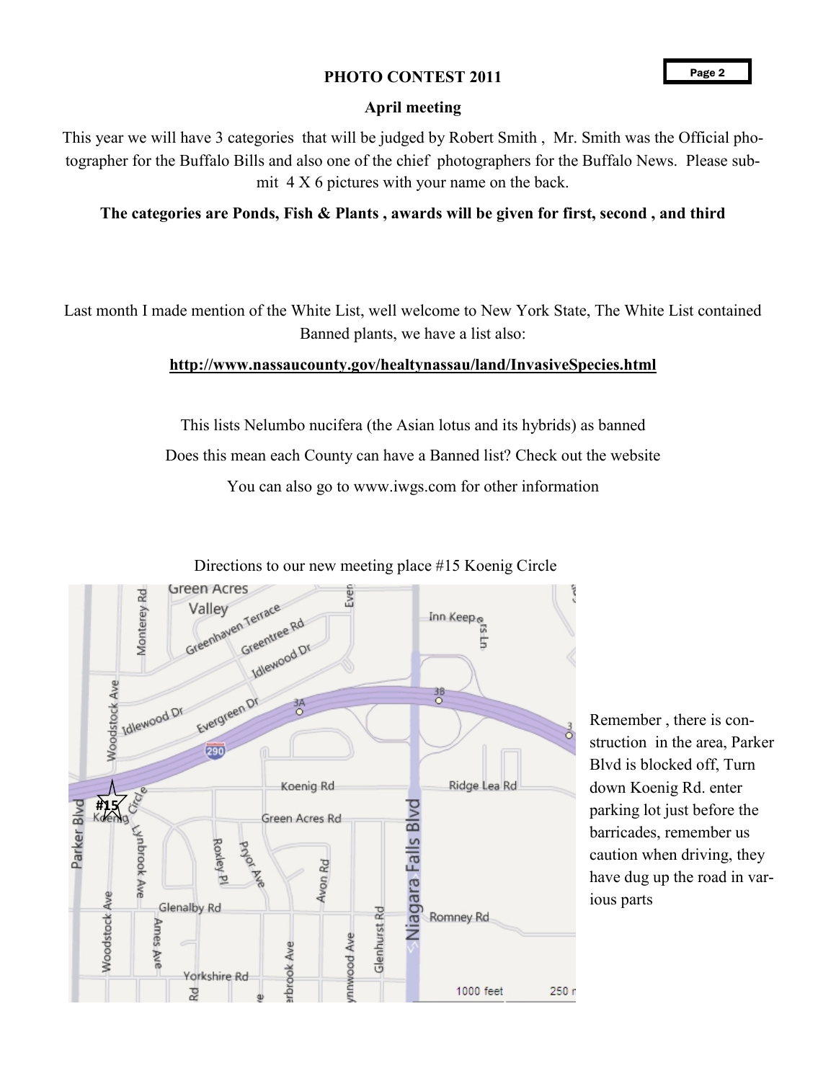# PHOTO CONTEST 2011

## **April meeting**

This year we will have 3 categories that will be judged by Robert Smith , Mr. Smith was the Official photographer for the Buffalo Bills and also one of the chief photographers for the Buffalo News. Please submit 4 X 6 pictures with your name on the back.

# **The categories are Ponds, Fish & Plants , awards will be given for first, second , and third**

Last month I made mention of the White List, well welcome to New York State, The White List contained Banned plants, we have a list also:

### **http://www.nassaucounty.gov/healtynassau/land/InvasiveSpecies.html**

This lists Nelumbo nucifera (the Asian lotus and its hybrids) as banned Does this mean each County can have a Banned list? Check out the website

You can also go to www.iwgs.com for other information



Remember , there is construction in the area, Parker Blvd is blocked off, Turn down Koenig Rd. enter parking lot just before the barricades, remember us caution when driving, they have dug up the road in various parts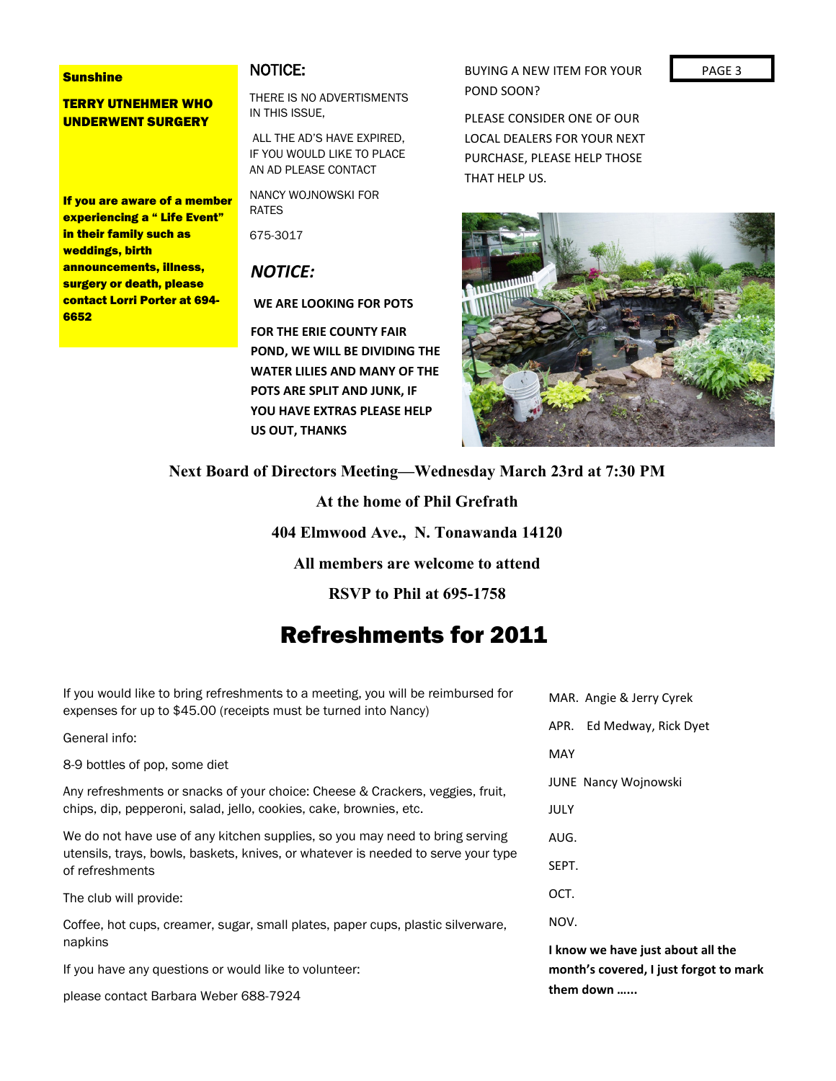#### **Sunshine**

TERRY UTNEHMER WHO UNDERWENT SURGERY

If you are aware of a member experiencing a " Life Event" in their family such as weddings, birth announcements, illness, surgery or death, please contact Lorri Porter at 694- 6652

# NOTICE:

THERE IS NO ADVERTISMENTS IN THIS ISSUE,

ALL THE AD'S HAVE EXPIRED, IF YOU WOULD LIKE TO PLACE AN AD PLEASE CONTACT

NANCY WOJNOWSKI FOR RATES

675-3017

# *NOTICE:*

**WE ARE LOOKING FOR POTS** 

**FOR THE ERIE COUNTY FAIR POND, WE WILL BE DIVIDING THE WATER LILIES AND MANY OF THE POTS ARE SPLIT AND JUNK, IF YOU HAVE EXTRAS PLEASE HELP US OUT, THANKS**

BUYING A NEW ITEM FOR YOUR PAGE 3 POND SOON?

PLEASE CONSIDER ONE OF OUR LOCAL DEALERS FOR YOUR NEXT PURCHASE, PLEASE HELP THOSE THAT HELP US.



**Next Board of Directors Meeting—Wednesday March 23rd at 7:30 PM**

**At the home of Phil Grefrath**

**404 Elmwood Ave., N. Tonawanda 14120**

**All members are welcome to attend**

| RSVP to Phil at 695-1758<br><b>Refreshments for 2011</b>                                                                                            |                                                                             |
|-----------------------------------------------------------------------------------------------------------------------------------------------------|-----------------------------------------------------------------------------|
|                                                                                                                                                     |                                                                             |
| General info:                                                                                                                                       | Ed Medway, Rick Dyet<br>APR.                                                |
| 8-9 bottles of pop, some diet                                                                                                                       | <b>MAY</b>                                                                  |
| Any refreshments or snacks of your choice: Cheese & Crackers, veggies, fruit,<br>chips, dip, pepperoni, salad, jello, cookies, cake, brownies, etc. | JUNE Nancy Wojnowski<br>JULY                                                |
| We do not have use of any kitchen supplies, so you may need to bring serving                                                                        | AUG.                                                                        |
| utensils, trays, bowls, baskets, knives, or whatever is needed to serve your type<br>of refreshments                                                | SEPT.                                                                       |
| The club will provide:                                                                                                                              | OCT.                                                                        |
| Coffee, hot cups, creamer, sugar, small plates, paper cups, plastic silverware,<br>napkins                                                          | NOV.                                                                        |
| If you have any questions or would like to volunteer:                                                                                               | I know we have just about all the<br>month's covered, I just forgot to mark |
| $\lambda$                                                                                                                                           | them down                                                                   |

please contact Barbara Weber 688-7924